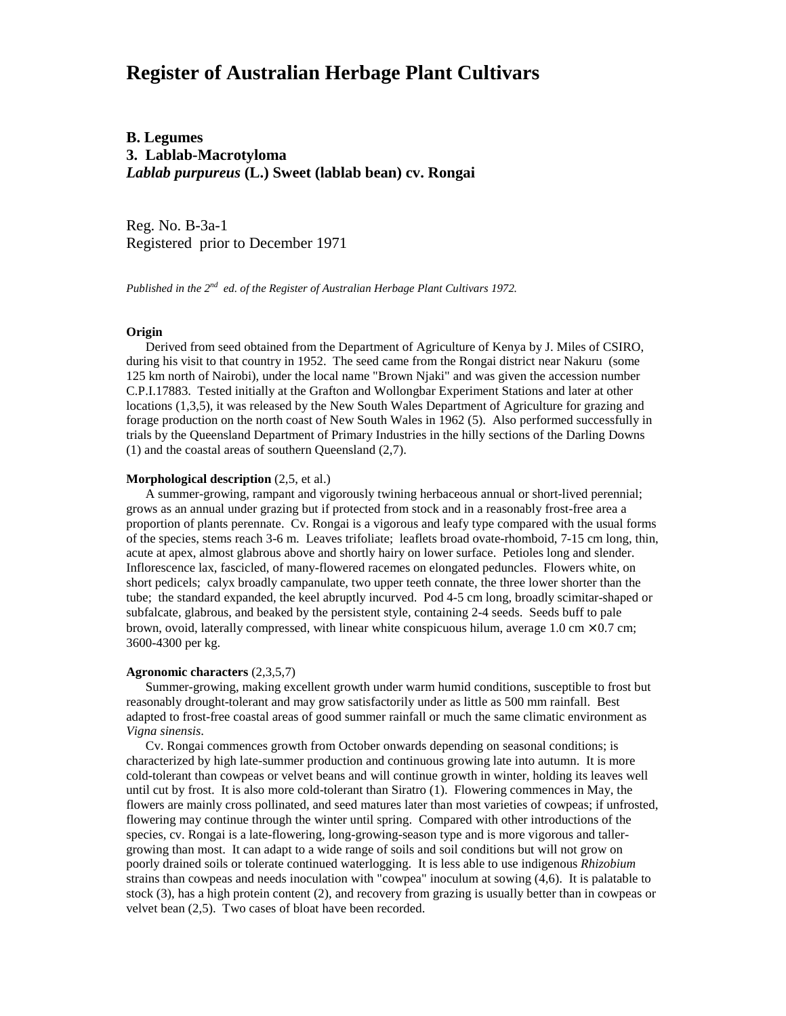# **Register of Australian Herbage Plant Cultivars**

## **B. Legumes 3. Lablab-Macrotyloma** *Lablab purpureus* **(L.) Sweet (lablab bean) cv. Rongai**

Reg. No. B-3a-1 Registered prior to December 1971

*Published in the 2nd ed. of the Register of Australian Herbage Plant Cultivars 1972.*

### **Origin**

 Derived from seed obtained from the Department of Agriculture of Kenya by J. Miles of CSIRO, during his visit to that country in 1952. The seed came from the Rongai district near Nakuru (some 125 km north of Nairobi), under the local name "Brown Njaki" and was given the accession number C.P.I.17883. Tested initially at the Grafton and Wollongbar Experiment Stations and later at other locations (1,3,5), it was released by the New South Wales Department of Agriculture for grazing and forage production on the north coast of New South Wales in 1962 (5). Also performed successfully in trials by the Queensland Department of Primary Industries in the hilly sections of the Darling Downs (1) and the coastal areas of southern Queensland (2,7).

#### **Morphological description** (2,5, et al.)

 A summer-growing, rampant and vigorously twining herbaceous annual or short-lived perennial; grows as an annual under grazing but if protected from stock and in a reasonably frost-free area a proportion of plants perennate. Cv. Rongai is a vigorous and leafy type compared with the usual forms of the species, stems reach 3-6 m. Leaves trifoliate; leaflets broad ovate-rhomboid, 7-15 cm long, thin, acute at apex, almost glabrous above and shortly hairy on lower surface. Petioles long and slender. Inflorescence lax, fascicled, of many-flowered racemes on elongated peduncles. Flowers white, on short pedicels; calyx broadly campanulate, two upper teeth connate, the three lower shorter than the tube; the standard expanded, the keel abruptly incurved. Pod 4-5 cm long, broadly scimitar-shaped or subfalcate, glabrous, and beaked by the persistent style, containing 2-4 seeds. Seeds buff to pale brown, ovoid, laterally compressed, with linear white conspicuous hilum, average 1.0 cm  $\times$  0.7 cm; 3600-4300 per kg.

#### **Agronomic characters** (2,3,5,7)

 Summer-growing, making excellent growth under warm humid conditions, susceptible to frost but reasonably drought-tolerant and may grow satisfactorily under as little as 500 mm rainfall. Best adapted to frost-free coastal areas of good summer rainfall or much the same climatic environment as *Vigna sinensis*.

 Cv. Rongai commences growth from October onwards depending on seasonal conditions; is characterized by high late-summer production and continuous growing late into autumn. It is more cold-tolerant than cowpeas or velvet beans and will continue growth in winter, holding its leaves well until cut by frost. It is also more cold-tolerant than Siratro (1). Flowering commences in May, the flowers are mainly cross pollinated, and seed matures later than most varieties of cowpeas; if unfrosted, flowering may continue through the winter until spring. Compared with other introductions of the species, cv. Rongai is a late-flowering, long-growing-season type and is more vigorous and tallergrowing than most. It can adapt to a wide range of soils and soil conditions but will not grow on poorly drained soils or tolerate continued waterlogging. It is less able to use indigenous *Rhizobium* strains than cowpeas and needs inoculation with "cowpea" inoculum at sowing (4,6). It is palatable to stock (3), has a high protein content (2), and recovery from grazing is usually better than in cowpeas or velvet bean (2,5). Two cases of bloat have been recorded.